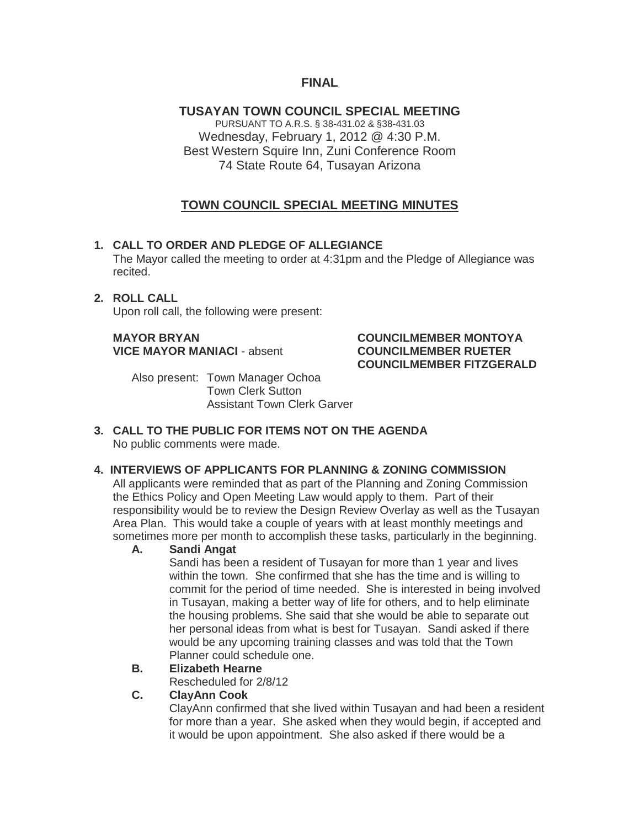## **FINAL**

**TUSAYAN TOWN COUNCIL SPECIAL MEETING** PURSUANT TO A.R.S. § 38-431.02 & §38-431.03 Wednesday, February 1, 2012 @ 4:30 P.M. Best Western Squire Inn, Zuni Conference Room 74 State Route 64, Tusayan Arizona

# **TOWN COUNCIL SPECIAL MEETING MINUTES**

#### **1. CALL TO ORDER AND PLEDGE OF ALLEGIANCE**

The Mayor called the meeting to order at 4:31pm and the Pledge of Allegiance was recited.

#### **2. ROLL CALL** Upon roll call, the following were present:

#### **MAYOR BRYAN COUNCILMEMBER MONTOYA VICE MAYOR MANIACI** - absent **COUNCILMEMBER RUETER COUNCILMEMBER FITZGERALD**

Also present: Town Manager Ochoa Town Clerk Sutton Assistant Town Clerk Garver

#### **3. CALL TO THE PUBLIC FOR ITEMS NOT ON THE AGENDA**  No public comments were made.

#### **4. INTERVIEWS OF APPLICANTS FOR PLANNING & ZONING COMMISSION**

All applicants were reminded that as part of the Planning and Zoning Commission the Ethics Policy and Open Meeting Law would apply to them. Part of their responsibility would be to review the Design Review Overlay as well as the Tusayan Area Plan. This would take a couple of years with at least monthly meetings and sometimes more per month to accomplish these tasks, particularly in the beginning.

## **A. Sandi Angat**

Sandi has been a resident of Tusayan for more than 1 year and lives within the town. She confirmed that she has the time and is willing to commit for the period of time needed. She is interested in being involved in Tusayan, making a better way of life for others, and to help eliminate the housing problems. She said that she would be able to separate out her personal ideas from what is best for Tusayan. Sandi asked if there would be any upcoming training classes and was told that the Town Planner could schedule one.

## **B. Elizabeth Hearne**

Rescheduled for 2/8/12

#### **C. ClayAnn Cook**

ClayAnn confirmed that she lived within Tusayan and had been a resident for more than a year. She asked when they would begin, if accepted and it would be upon appointment. She also asked if there would be a